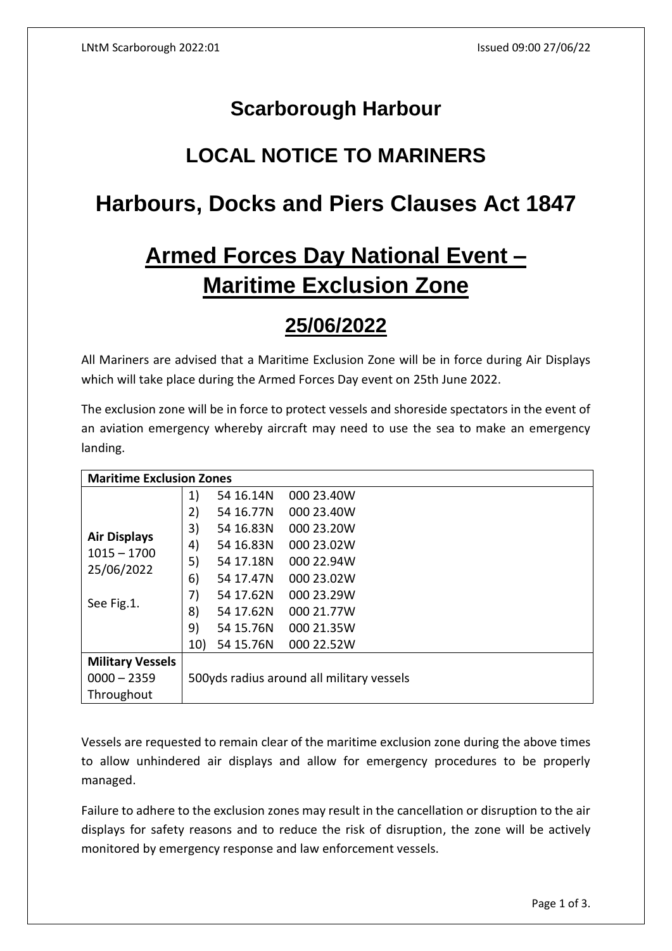## **Scarborough Harbour**

# **LOCAL NOTICE TO MARINERS**

# **Harbours, Docks and Piers Clauses Act 1847**

# **Armed Forces Day National Event – Maritime Exclusion Zone**

## **25/06/2022**

All Mariners are advised that a Maritime Exclusion Zone will be in force during Air Displays which will take place during the Armed Forces Day event on 25th June 2022.

The exclusion zone will be in force to protect vessels and shoreside spectators in the event of an aviation emergency whereby aircraft may need to use the sea to make an emergency landing.

| <b>Maritime Exclusion Zones</b>                                  |                                           |           |            |
|------------------------------------------------------------------|-------------------------------------------|-----------|------------|
| <b>Air Displays</b><br>$1015 - 1700$<br>25/06/2022<br>See Fig.1. | 1)                                        | 54 16.14N | 000 23.40W |
|                                                                  | 2)                                        | 54 16.77N | 000 23.40W |
|                                                                  | 3)                                        | 54 16.83N | 000 23.20W |
|                                                                  | 4)                                        | 54 16.83N | 000 23.02W |
|                                                                  | 5)                                        | 54 17.18N | 000 22.94W |
|                                                                  | 6)                                        | 54 17.47N | 000 23.02W |
|                                                                  | 7)                                        | 54 17.62N | 000 23.29W |
|                                                                  | 8)                                        | 54 17.62N | 000 21.77W |
|                                                                  | 9)                                        | 54 15.76N | 000 21.35W |
|                                                                  | 10)                                       | 54 15.76N | 000 22.52W |
| <b>Military Vessels</b>                                          |                                           |           |            |
| $0000 - 2359$                                                    | 500yds radius around all military vessels |           |            |
| Throughout                                                       |                                           |           |            |

Vessels are requested to remain clear of the maritime exclusion zone during the above times to allow unhindered air displays and allow for emergency procedures to be properly managed.

Failure to adhere to the exclusion zones may result in the cancellation or disruption to the air displays for safety reasons and to reduce the risk of disruption, the zone will be actively monitored by emergency response and law enforcement vessels.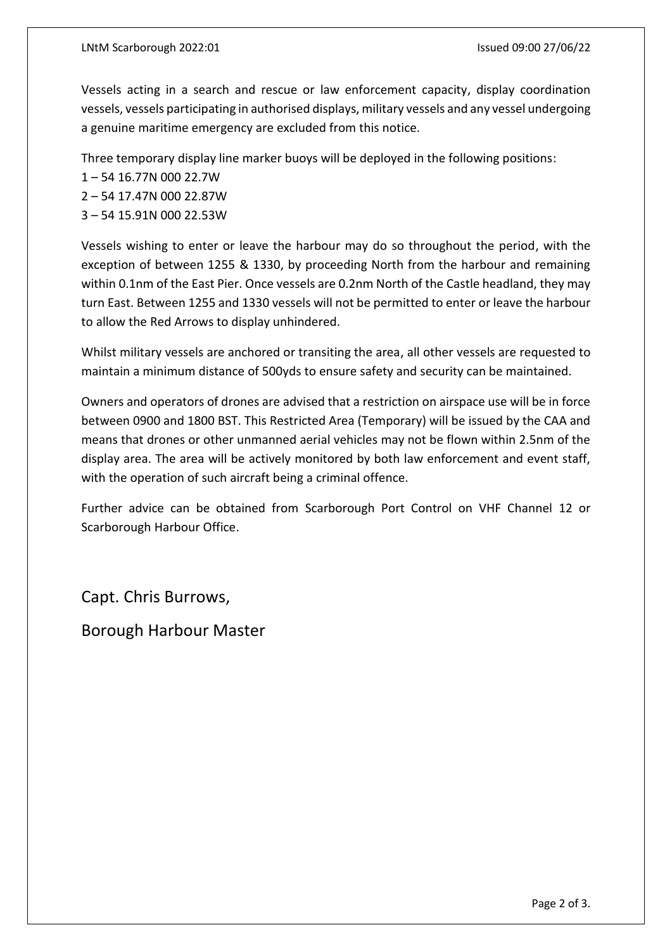Vessels acting in a search and rescue or law enforcement capacity, display coordination vessels, vessels participating in authorised displays, military vessels and any vessel undergoing a genuine maritime emergency are excluded from this notice.

Three temporary display line marker buoys will be deployed in the following positions:

- 1 54 16.77N 000 22.7W
- 2 54 17.47N 000 22.87W
- 3 54 15.91N 000 22.53W

Vessels wishing to enter or leave the harbour may do so throughout the period, with the exception of between 1255 & 1330, by proceeding North from the harbour and remaining within 0.1nm of the East Pier. Once vessels are 0.2nm North of the Castle headland, they may turn East. Between 1255 and 1330 vessels will not be permitted to enter or leave the harbour to allow the Red Arrows to display unhindered.

Whilst military vessels are anchored or transiting the area, all other vessels are requested to maintain a minimum distance of 500yds to ensure safety and security can be maintained.

Owners and operators of drones are advised that a restriction on airspace use will be in force between 0900 and 1800 BST. This Restricted Area (Temporary) will be issued by the CAA and means that drones or other unmanned aerial vehicles may not be flown within 2.5nm of the display area. The area will be actively monitored by both law enforcement and event staff, with the operation of such aircraft being a criminal offence.

Further advice can be obtained from Scarborough Port Control on VHF Channel 12 or Scarborough Harbour Office.

Capt. Chris Burrows,

Borough Harbour Master